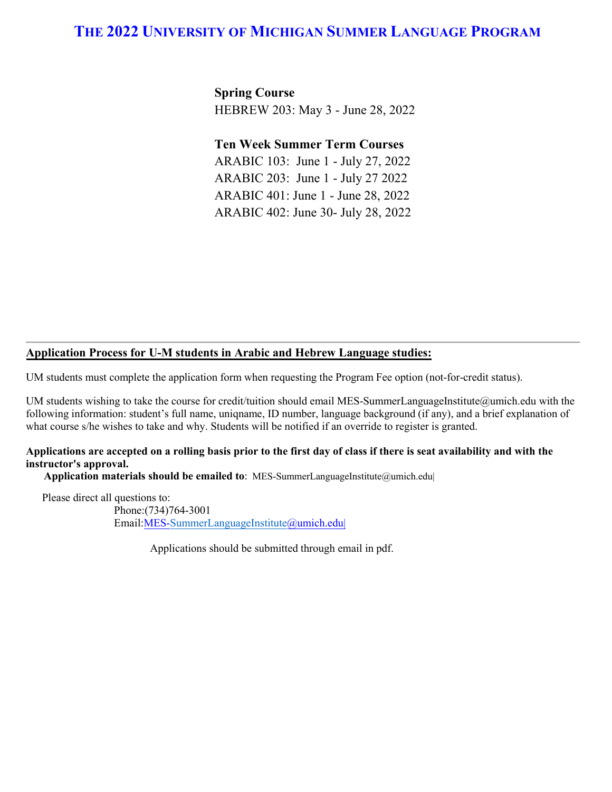**Spring Course** HEBREW 203: May 3 - June 28, 2022

**Ten Week Summer Term Courses**

ARABIC 103: June 1 - July 27, 2022 ARABIC 203: June 1 - July 27 2022 ARABIC 401: June 1 - June 28, 2022 ARABIC 402: June 30- July 28, 2022

#### **Application Process for U-M students in Arabic and Hebrew Language studies:**

UM students must complete the application form when requesting the Program Fee option (not-for-credit status).

UM students wishing to take the course for credit/tuition should email MES-SummerLanguageInstitute@umich.edu with the following information: student's full name, uniqname, ID number, language background (if any), and a brief explanation of what course s/he wishes to take and why. Students will be notified if an override to register is granted.

#### **Applications are accepted on a rolling basis prior to the first day of class if there is seat availability and with the instructor's approval.**

**Application materials should be emailed to**: MES-SummerLanguageInstitute@umich.edu|

Please direct all questions to: Phone:(734)764-3001 Email:MES[-SummerLanguageInstitute@u](mailto:MES-SummerLanguageInstitute@umich.edu)mich.edu|

Applications should be submitted through email in pdf.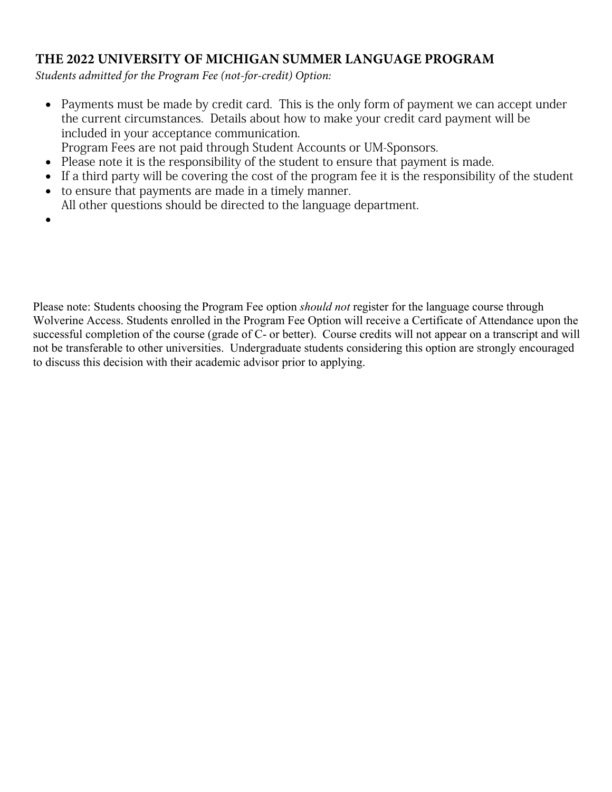*Students admitted for the Program Fee (not-for-credit) Option:*

- Payments must be made by credit card. This is the only form of payment we can accept under the current circumstances. Details about how to make your credit card payment will be included in your acceptance communication.
- Program Fees are not paid through Student Accounts or UM-Sponsors.
- Please note it is the responsibility of the student to ensure that payment is made.
- If a third party will be covering the cost of the program fee it is the responsibility of the student
- to ensure that payments are made in a timely manner. All other questions should be directed to the language department.
- •

Please note: Students choosing the Program Fee option *should not* register for the language course through Wolverine Access. Students enrolled in the Program Fee Option will receive a Certificate of Attendance upon the successful completion of the course (grade of C- or better). Course credits will not appear on a transcript and will not be transferable to other universities. Undergraduate students considering this option are strongly encouraged to discuss this decision with their academic advisor prior to applying.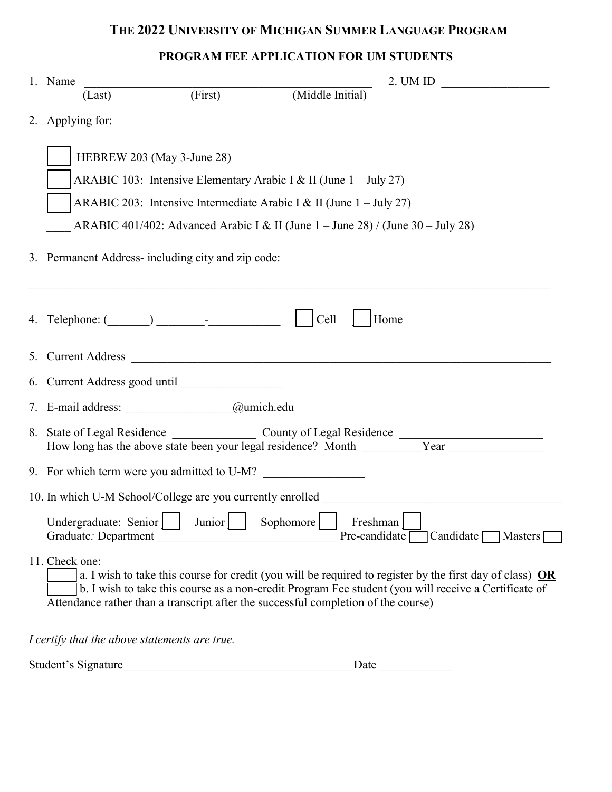## **PROGRAM FEE APPLICATION FOR UM STUDENTS**

| 1. Name          |                      |                                                         | 2. UM ID                                                                                                                                                                                                                                                                                                 |
|------------------|----------------------|---------------------------------------------------------|----------------------------------------------------------------------------------------------------------------------------------------------------------------------------------------------------------------------------------------------------------------------------------------------------------|
|                  | (Last)               | $\overline{(\text{First})}$ (First)                     | (Middle Initial)                                                                                                                                                                                                                                                                                         |
| 2. Applying for: |                      |                                                         |                                                                                                                                                                                                                                                                                                          |
|                  |                      | HEBREW 203 (May 3-June 28)                              | ARABIC 103: Intensive Elementary Arabic I & II (June $1 -$ July 27)<br>ARABIC 203: Intensive Intermediate Arabic I & II (June $1 -$ July 27)<br>ARABIC 401/402: Advanced Arabic I & II (June $1 -$ June 28) / (June 30 - July 28)                                                                        |
|                  |                      | 3. Permanent Address- including city and zip code:      |                                                                                                                                                                                                                                                                                                          |
|                  |                      |                                                         | Cell<br>Home                                                                                                                                                                                                                                                                                             |
|                  |                      |                                                         |                                                                                                                                                                                                                                                                                                          |
|                  |                      | 7. E-mail address: <u>___________________@umich.edu</u> |                                                                                                                                                                                                                                                                                                          |
|                  |                      |                                                         |                                                                                                                                                                                                                                                                                                          |
|                  |                      | 9. For which term were you admitted to U-M?             |                                                                                                                                                                                                                                                                                                          |
|                  |                      |                                                         | 10. In which U-M School/College are you currently enrolled                                                                                                                                                                                                                                               |
|                  | Graduate: Department |                                                         | Undergraduate: Senior Junior Sophomore Freshman<br>Pre-candidate $\lceil$<br>Candidate Masters                                                                                                                                                                                                           |
| 11. Check one:   |                      |                                                         | a. I wish to take this course for credit (you will be required to register by the first day of class) $OR$<br>b. I wish to take this course as a non-credit Program Fee student (you will receive a Certificate of<br>Attendance rather than a transcript after the successful completion of the course) |
|                  |                      | I certify that the above statements are true.           |                                                                                                                                                                                                                                                                                                          |

|  | Student's Signature |  |  |  |
|--|---------------------|--|--|--|
|--|---------------------|--|--|--|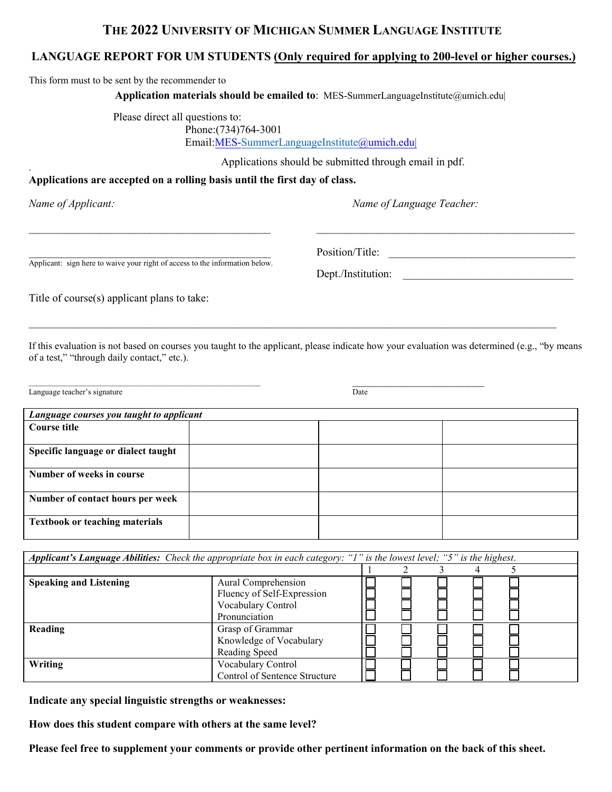### **THE 2022 UNIVERSITY OF MICHIGAN SUMMER LANGUAGE INSTITUTE**

### **LANGUAGE REPORT FOR UM STUDENTS (Only required for applying to 200-level or higher courses.)**

This form must to be sent by the recommender to

**Application materials should be emailed to**: MES-SummerLanguageInstitute@umich.edu|

Please direct all questions to: Phone:(734)764-3001 Email:MES-SummerLanguageInstitute@umich.edu|

Applications should be submitted through email in pdf.

#### **Applications are accepted on a rolling basis until the first day of class.**

.

*Name of Applicant: Name of Language Teacher:*

Applicant: sign here to waive your right of access to the information below.

Position/Title:

Dept./Institution:

Title of course(s) applicant plans to take:

If this evaluation is not based on courses you taught to the applicant, please indicate how your evaluation was determined (e.g., "by means of a test," "through daily contact," etc.).

 $\_$  ,  $\_$  ,  $\_$  ,  $\_$  ,  $\_$  ,  $\_$  ,  $\_$  ,  $\_$  ,  $\_$  ,  $\_$  ,  $\_$  ,  $\_$  ,  $\_$  ,  $\_$  ,  $\_$  ,  $\_$  ,  $\_$  ,  $\_$  ,  $\_$  ,  $\_$  ,  $\_$  ,  $\_$  ,  $\_$  ,  $\_$  ,  $\_$  ,  $\_$  ,  $\_$  ,  $\_$  ,  $\_$  ,  $\_$  ,  $\_$  ,  $\_$  ,  $\_$  ,  $\_$  ,  $\_$  ,  $\_$  ,  $\_$  ,

 $\_$  , and the contribution of the contribution of the contribution of the contribution of  $\mathcal{L}_\text{max}$ 

Language teacher's signature **Example 2018** and the set of the set of the set of the set of the set of the set of the set of the set of the set of the set of the set of the set of the set of the set of the set of the set o

| Language courses you taught to applicant |  |  |  |  |
|------------------------------------------|--|--|--|--|
| Course title                             |  |  |  |  |
| Specific language or dialect taught      |  |  |  |  |
| Number of weeks in course                |  |  |  |  |
| Number of contact hours per week         |  |  |  |  |
| <b>Textbook or teaching materials</b>    |  |  |  |  |

| Applicant's Language Abilities: Check the appropriate box in each category: "I" is the lowest level; "5" is the highest. |                                                              |  |  |  |  |  |
|--------------------------------------------------------------------------------------------------------------------------|--------------------------------------------------------------|--|--|--|--|--|
|                                                                                                                          |                                                              |  |  |  |  |  |
| <b>Speaking and Listening</b>                                                                                            | Aural Comprehension<br>Fluency of Self-Expression            |  |  |  |  |  |
|                                                                                                                          | Vocabulary Control<br>Pronunciation                          |  |  |  |  |  |
| Reading                                                                                                                  | Grasp of Grammar<br>Knowledge of Vocabulary<br>Reading Speed |  |  |  |  |  |
| Writing                                                                                                                  | Vocabulary Control<br>Control of Sentence Structure          |  |  |  |  |  |

**Indicate any special linguistic strengths or weaknesses:**

**How does this student compare with others at the same level?**

**Please feel free to supplement your comments or provide other pertinent information on the back of this sheet.**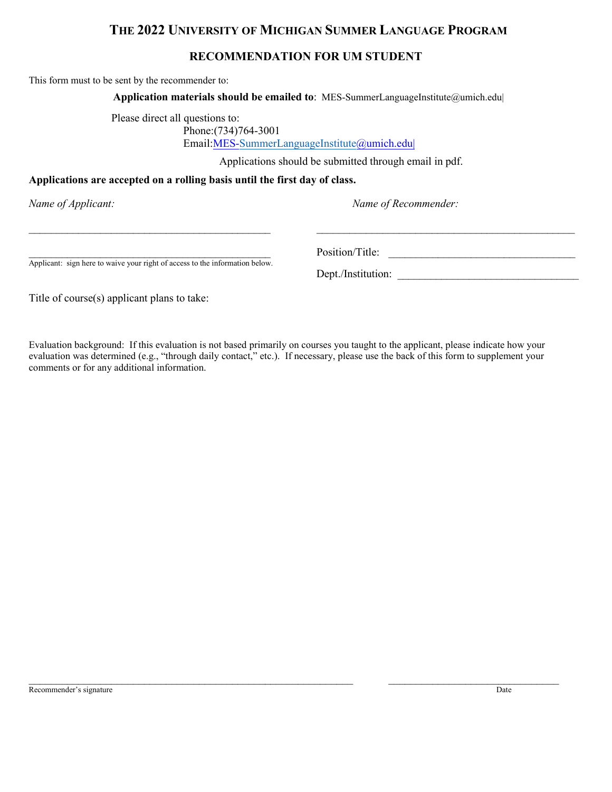#### **RECOMMENDATION FOR UM STUDENT**

This form must to be sent by the recommender to:

**Application materials should be emailed to**: MES-SummerLanguageInstitute@umich.edu|

 $\_$  , and the contribution of the contribution of the contribution of the contribution of  $\mathcal{L}_\text{max}$ 

Please direct all questions to: Phone:(734)764-3001 Email:MES-SummerLanguageInstitute@umich.edu|

Applications should be submitted through email in pdf.

#### **Applications are accepted on a rolling basis until the first day of class.**

*Name of Applicant: Name of Recommender:*

Applicant: sign here to waive your right of access to the information below.

\_\_\_\_\_\_\_\_\_\_\_\_\_\_\_\_\_\_\_\_\_\_\_\_\_\_\_\_\_\_\_\_\_\_\_\_\_\_\_\_\_\_\_\_ Position/Title: \_\_\_\_\_\_\_\_\_\_\_\_\_\_\_\_\_\_\_\_\_\_\_\_\_\_\_\_\_\_\_\_\_\_

Dept./Institution:

Title of course(s) applicant plans to take:

Evaluation background: If this evaluation is not based primarily on courses you taught to the applicant, please indicate how your evaluation was determined (e.g., "through daily contact," etc.). If necessary, please use the back of this form to supplement your comments or for any additional information.